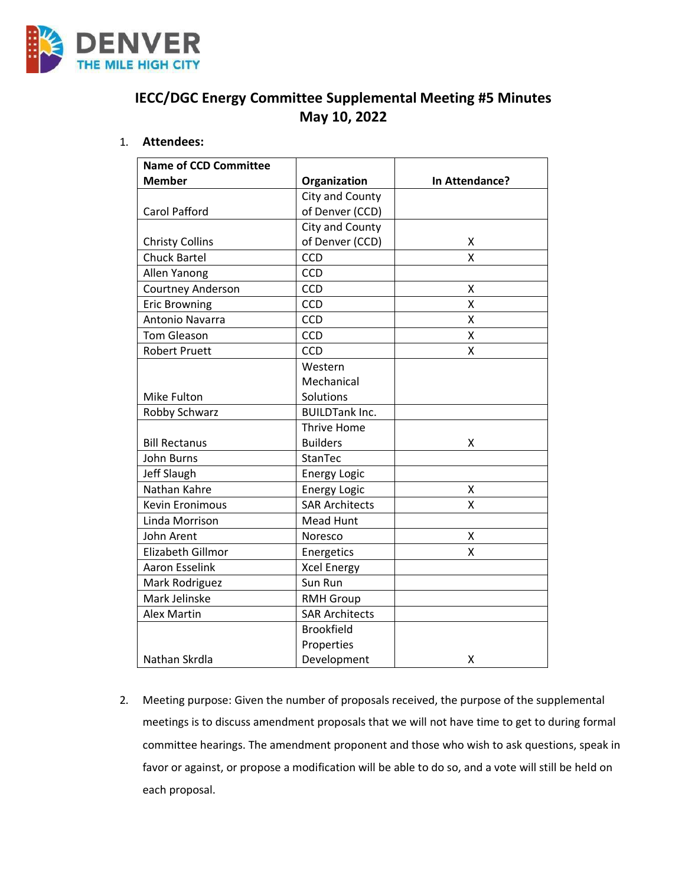

# **IECC/DGC Energy Committee Supplemental Meeting #5 Minutes May 10, 2022**

# 1. **Attendees:**

| <b>Name of CCD Committee</b> |                       |                |
|------------------------------|-----------------------|----------------|
| <b>Member</b>                | Organization          | In Attendance? |
|                              | City and County       |                |
| <b>Carol Pafford</b>         | of Denver (CCD)       |                |
|                              | City and County       |                |
| <b>Christy Collins</b>       | of Denver (CCD)       | X              |
| <b>Chuck Bartel</b>          | CCD                   | X              |
| Allen Yanong                 | <b>CCD</b>            |                |
| Courtney Anderson            | CCD                   | Χ              |
| <b>Eric Browning</b>         | CCD                   | X              |
| Antonio Navarra              | CCD                   | X              |
| <b>Tom Gleason</b>           | CCD                   | X              |
| <b>Robert Pruett</b>         | CCD                   | X              |
|                              | Western               |                |
|                              | Mechanical            |                |
| Mike Fulton                  | Solutions             |                |
| Robby Schwarz                | <b>BUILDTank Inc.</b> |                |
|                              | Thrive Home           |                |
| <b>Bill Rectanus</b>         | <b>Builders</b>       | x              |
| John Burns                   | StanTec               |                |
| Jeff Slaugh                  | <b>Energy Logic</b>   |                |
| Nathan Kahre                 | <b>Energy Logic</b>   | Χ              |
| <b>Kevin Eronimous</b>       | <b>SAR Architects</b> | X              |
| Linda Morrison               | Mead Hunt             |                |
| John Arent                   | Noresco               | x              |
| Elizabeth Gillmor            | Energetics            | X              |
| Aaron Esselink               | <b>Xcel Energy</b>    |                |
| Mark Rodriguez               | Sun Run               |                |
| Mark Jelinske                | <b>RMH Group</b>      |                |
| <b>Alex Martin</b>           | <b>SAR Architects</b> |                |
|                              | <b>Brookfield</b>     |                |
|                              | Properties            |                |
| Nathan Skrdla                | Development           | х              |

2. Meeting purpose: Given the number of proposals received, the purpose of the supplemental meetings is to discuss amendment proposals that we will not have time to get to during formal committee hearings. The amendment proponent and those who wish to ask questions, speak in favor or against, or propose a modification will be able to do so, and a vote will still be held on each proposal.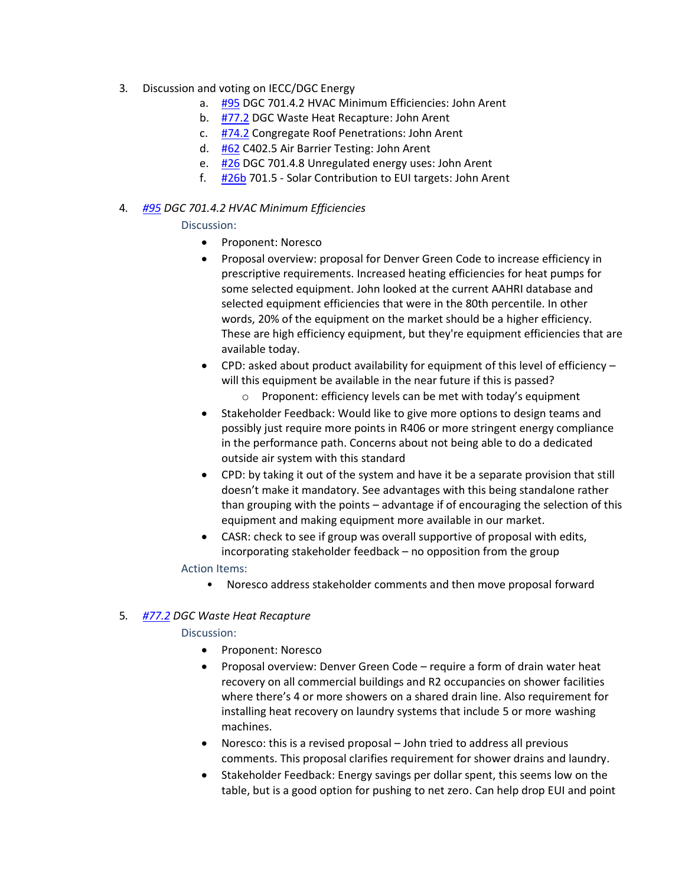- 3. Discussion and voting on IECC/DGC Energy
	- a. [#95](https://www.denvergov.org/files/assets/public/community-planning-and-development/documents/ds/building-codes/code-adoption/amendment-proposals/dgc/dgc_701.4.2.pdf) DGC 701.4.2 HVAC Minimum Efficiencies: John Arent
	- b. [#77.2](https://www.denvergov.org/files/assets/public/community-planning-and-development/documents/ds/building-codes/code-adoption/amendment-proposals/dgc/dgc_77.2.pdf) DGC Waste Heat Recapture: John Arent
	- c. [#74.2](https://www.denvergov.org/files/assets/public/community-planning-and-development/documents/ds/building-codes/code-adoption/amendment-proposals/iecc/iecc_c405.13_com.pdf) Congregate Roof Penetrations: John Arent
	- d. [#62](https://www.denvergov.org/files/assets/public/community-planning-and-development/documents/ds/building-codes/code-adoption/amendment-proposals/iecc/62_c402.5_air-barrier-testing.pdf) C402.5 Air Barrier Testing: John Arent
	- e. [#26](https://www.denvergov.org/files/assets/public/community-planning-and-development/documents/ds/building-codes/code-adoption/amendment-proposals/dgc/dgc-701.4.7.pdf) DGC 701.4.8 Unregulated energy uses: John Arent
	- f. [#26b](https://www.denvergov.org/files/assets/public/community-planning-and-development/documents/ds/building-codes/code-adoption/amendment-proposals/dgc/dgc-energy_cc102.pdf) 701.5 Solar Contribution to EUI targets: John Arent

# 4. *[#95](https://www.denvergov.org/files/assets/public/community-planning-and-development/documents/ds/building-codes/code-adoption/amendment-proposals/dgc/dgc_701.4.2.pdf) DGC 701.4.2 HVAC Minimum Efficiencies*

## Discussion:

- Proponent: Noresco
- Proposal overview: proposal for Denver Green Code to increase efficiency in prescriptive requirements. Increased heating efficiencies for heat pumps for some selected equipment. John looked at the current AAHRI database and selected equipment efficiencies that were in the 80th percentile. In other words, 20% of the equipment on the market should be a higher efficiency. These are high efficiency equipment, but they're equipment efficiencies that are available today.
- CPD: asked about product availability for equipment of this level of efficiency will this equipment be available in the near future if this is passed?
	- o Proponent: efficiency levels can be met with today's equipment
- Stakeholder Feedback: Would like to give more options to design teams and possibly just require more points in R406 or more stringent energy compliance in the performance path. Concerns about not being able to do a dedicated outside air system with this standard
- CPD: by taking it out of the system and have it be a separate provision that still doesn't make it mandatory. See advantages with this being standalone rather than grouping with the points – advantage if of encouraging the selection of this equipment and making equipment more available in our market.
- CASR: check to see if group was overall supportive of proposal with edits, incorporating stakeholder feedback – no opposition from the group

## Action Items:

• Noresco address stakeholder comments and then move proposal forward

## 5. *[#77.2](https://www.denvergov.org/files/assets/public/community-planning-and-development/documents/ds/building-codes/code-adoption/amendment-proposals/dgc/dgc_77.2.pdf) DGC Waste Heat Recapture*

## Discussion:

- Proponent: Noresco
- Proposal overview: Denver Green Code require a form of drain water heat recovery on all commercial buildings and R2 occupancies on shower facilities where there's 4 or more showers on a shared drain line. Also requirement for installing heat recovery on laundry systems that include 5 or more washing machines.
- Noresco: this is a revised proposal John tried to address all previous comments. This proposal clarifies requirement for shower drains and laundry.
- Stakeholder Feedback: Energy savings per dollar spent, this seems low on the table, but is a good option for pushing to net zero. Can help drop EUI and point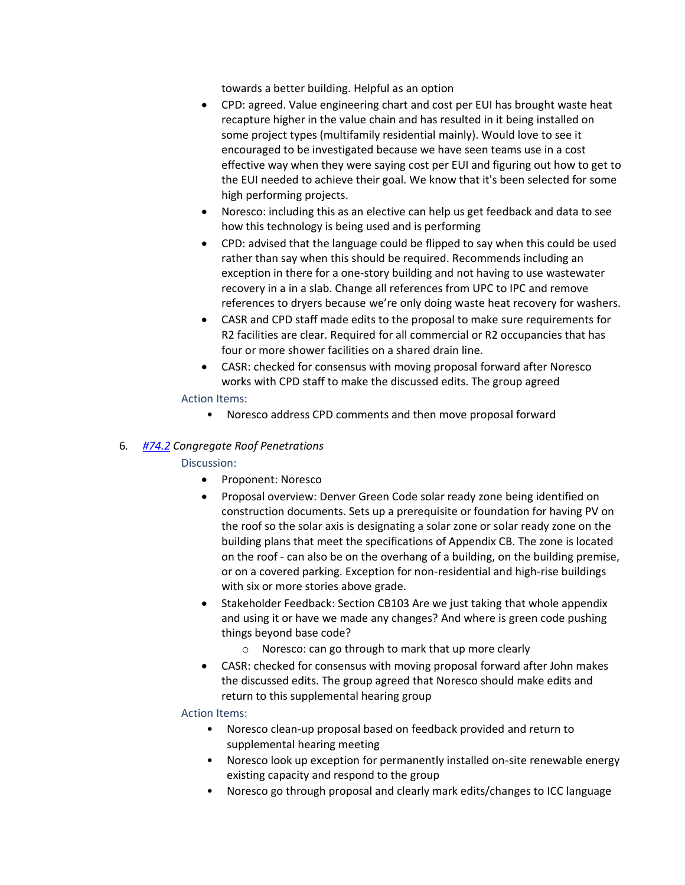towards a better building. Helpful as an option

- CPD: agreed. Value engineering chart and cost per EUI has brought waste heat recapture higher in the value chain and has resulted in it being installed on some project types (multifamily residential mainly). Would love to see it encouraged to be investigated because we have seen teams use in a cost effective way when they were saying cost per EUI and figuring out how to get to the EUI needed to achieve their goal. We know that it's been selected for some high performing projects.
- Noresco: including this as an elective can help us get feedback and data to see how this technology is being used and is performing
- CPD: advised that the language could be flipped to say when this could be used rather than say when this should be required. Recommends including an exception in there for a one-story building and not having to use wastewater recovery in a in a slab. Change all references from UPC to IPC and remove references to dryers because we're only doing waste heat recovery for washers.
- CASR and CPD staff made edits to the proposal to make sure requirements for R2 facilities are clear. Required for all commercial or R2 occupancies that has four or more shower facilities on a shared drain line.
- CASR: checked for consensus with moving proposal forward after Noresco works with CPD staff to make the discussed edits. The group agreed

## Action Items:

• Noresco address CPD comments and then move proposal forward

# 6. *[#74.2](https://www.denvergov.org/files/assets/public/community-planning-and-development/documents/ds/building-codes/code-adoption/amendment-proposals/iecc/iecc_c405.13_com.pdf) Congregate Roof Penetrations*

## Discussion:

- Proponent: Noresco
- Proposal overview: Denver Green Code solar ready zone being identified on construction documents. Sets up a prerequisite or foundation for having PV on the roof so the solar axis is designating a solar zone or solar ready zone on the building plans that meet the specifications of Appendix CB. The zone is located on the roof - can also be on the overhang of a building, on the building premise, or on a covered parking. Exception for non-residential and high-rise buildings with six or more stories above grade.
- Stakeholder Feedback: Section CB103 Are we just taking that whole appendix and using it or have we made any changes? And where is green code pushing things beyond base code?
	- o Noresco: can go through to mark that up more clearly
- CASR: checked for consensus with moving proposal forward after John makes the discussed edits. The group agreed that Noresco should make edits and return to this supplemental hearing group

## Action Items:

- Noresco clean-up proposal based on feedback provided and return to supplemental hearing meeting
- Noresco look up exception for permanently installed on-site renewable energy existing capacity and respond to the group
- Noresco go through proposal and clearly mark edits/changes to ICC language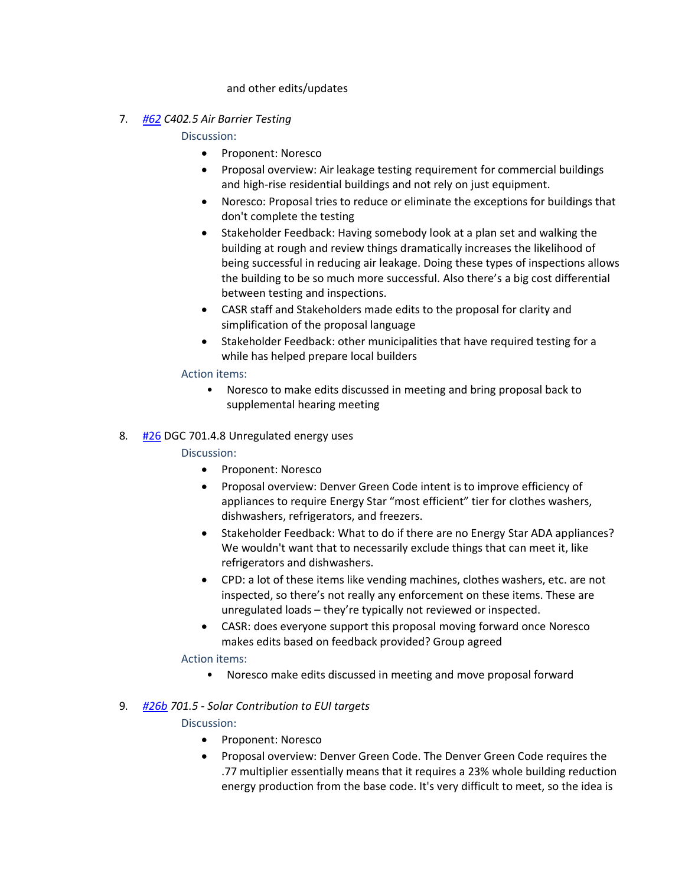#### and other edits/updates

7. *[#62](https://www.denvergov.org/files/assets/public/community-planning-and-development/documents/ds/building-codes/code-adoption/amendment-proposals/iecc/62_c402.5_air-barrier-testing.pdf) C402.5 Air Barrier Testing*

Discussion:

- Proponent: Noresco
- Proposal overview: Air leakage testing requirement for commercial buildings and high-rise residential buildings and not rely on just equipment.
- Noresco: Proposal tries to reduce or eliminate the exceptions for buildings that don't complete the testing
- Stakeholder Feedback: Having somebody look at a plan set and walking the building at rough and review things dramatically increases the likelihood of being successful in reducing air leakage. Doing these types of inspections allows the building to be so much more successful. Also there's a big cost differential between testing and inspections.
- CASR staff and Stakeholders made edits to the proposal for clarity and simplification of the proposal language
- Stakeholder Feedback: other municipalities that have required testing for a while has helped prepare local builders

#### Action items:

- Noresco to make edits discussed in meeting and bring proposal back to supplemental hearing meeting
- 8. [#26](https://www.denvergov.org/files/assets/public/community-planning-and-development/documents/ds/building-codes/code-adoption/amendment-proposals/dgc/dgc-701.4.7.pdf) DGC 701.4.8 Unregulated energy uses

## Discussion:

- Proponent: Noresco
- Proposal overview: Denver Green Code intent is to improve efficiency of appliances to require Energy Star "most efficient" tier for clothes washers, dishwashers, refrigerators, and freezers.
- Stakeholder Feedback: What to do if there are no Energy Star ADA appliances? We wouldn't want that to necessarily exclude things that can meet it, like refrigerators and dishwashers.
- CPD: a lot of these items like vending machines, clothes washers, etc. are not inspected, so there's not really any enforcement on these items. These are unregulated loads – they're typically not reviewed or inspected.
- CASR: does everyone support this proposal moving forward once Noresco makes edits based on feedback provided? Group agreed

## Action items:

• Noresco make edits discussed in meeting and move proposal forward

## 9. *[#26b](https://www.denvergov.org/files/assets/public/community-planning-and-development/documents/ds/building-codes/code-adoption/amendment-proposals/dgc/dgc-energy_cc102.pdf) 701.5 - Solar Contribution to EUI targets*

## Discussion:

- Proponent: Noresco
- Proposal overview: Denver Green Code. The Denver Green Code requires the .77 multiplier essentially means that it requires a 23% whole building reduction energy production from the base code. It's very difficult to meet, so the idea is